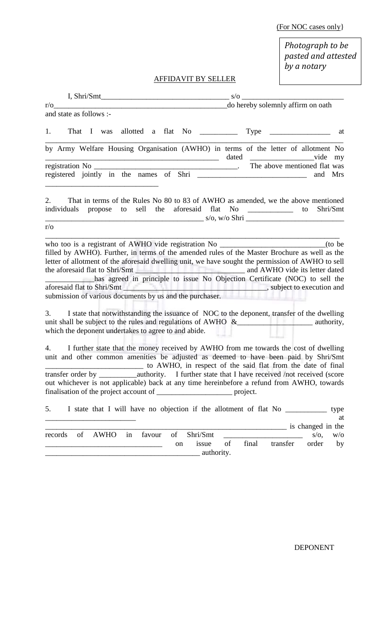(For NOC cases only}

*Photograph to be pasted and attested by a notary*

# AFFIDAVIT BY SELLER

| and state as follows :-                                                                                                                                                                                                                                                                                                                                                                                                                           |                                                                                    |
|---------------------------------------------------------------------------------------------------------------------------------------------------------------------------------------------------------------------------------------------------------------------------------------------------------------------------------------------------------------------------------------------------------------------------------------------------|------------------------------------------------------------------------------------|
| 1.                                                                                                                                                                                                                                                                                                                                                                                                                                                | at                                                                                 |
| by Army Welfare Housing Organisation (AWHO) in terms of the letter of allotment No                                                                                                                                                                                                                                                                                                                                                                | my                                                                                 |
|                                                                                                                                                                                                                                                                                                                                                                                                                                                   | and Mrs                                                                            |
| 2.<br>That in terms of the Rules No 80 to 83 of AWHO as amended, we the above mentioned<br>individuals propose to sell the aforesaid flat No _______________<br>$r/\sigma$                                                                                                                                                                                                                                                                        | Shri/Smt<br>to                                                                     |
| who too is a registrant of AWHO vide registration No ____________________________<br>filled by AWHO). Further, in terms of the amended rules of the Master Brochure as well as the<br>letter of allotment of the aforesaid dwelling unit, we have sought the permission of AWHO to sell<br>has agreed in principle to issue No Objection Certificate (NOC) to sell the                                                                            | (to be)                                                                            |
| I state that notwithstanding the issuance of NOC to the deponent, transfer of the dwelling<br>3.<br>unit shall be subject to the rules and regulations of AWHO $\&$ authority,<br>which the deponent undertakes to agree to and abide.                                                                                                                                                                                                            |                                                                                    |
| 4. I further state that the money received by AWHO from me towards the cost of dwelling<br>unit and other common amenities be adjusted as deemed to have been paid by Shri/Smt<br>to AWHO, in respect of the said flat from the date of final<br>transfer order by ____________authority. I further state that I have received /not received (score<br>out whichever is not applicable) back at any time hereinbefore a refund from AWHO, towards |                                                                                    |
| 5.<br>I state that I will have no objection if the allotment of flat No ______________                                                                                                                                                                                                                                                                                                                                                            | type<br>at                                                                         |
| Shri/Smt<br>of<br>of<br><b>AWHO</b><br>favour<br>records<br>in<br>issue<br>on<br>authority.                                                                                                                                                                                                                                                                                                                                                       | is changed in the<br>$s/\sigma$ ,<br>W/O<br>of<br>final<br>order<br>transfer<br>by |

DEPONENT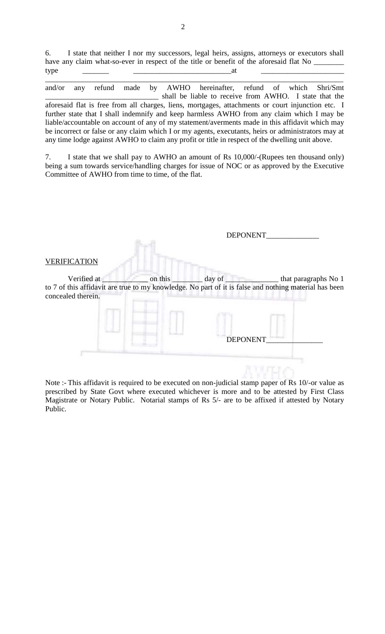6. I state that neither I nor my successors, legal heirs, assigns, attorneys or executors shall have any claim what-so-ever in respect of the title or benefit of the aforesaid flat No \_  $type \qquad \qquad \qquad \qquad \qquad \qquad \qquad \qquad \qquad \qquad \text{at}$ 

\_\_\_\_\_\_\_\_\_\_\_\_\_\_\_\_\_\_\_\_\_\_\_\_\_\_\_\_\_\_\_\_\_\_\_\_\_\_\_\_\_\_\_\_\_\_\_\_\_\_\_\_\_\_\_\_\_\_\_\_\_\_\_\_\_\_\_\_\_\_\_\_\_\_\_\_\_\_\_

and/or any refund made by AWHO hereinafter, refund of which Shri/Smt \_\_\_\_\_\_\_\_\_\_\_\_\_\_\_\_\_\_\_\_\_\_\_\_\_\_\_\_\_\_ shall be liable to receive from AWHO. I state that the aforesaid flat is free from all charges, liens, mortgages, attachments or court injunction etc. I further state that I shall indemnify and keep harmless AWHO from any claim which I may be liable/accountable on account of any of my statement/averments made in this affidavit which may be incorrect or false or any claim which I or my agents, executants, heirs or administrators may at any time lodge against AWHO to claim any profit or title in respect of the dwelling unit above.

7. I state that we shall pay to AWHO an amount of Rs 10,000/-(Rupees ten thousand only) being a sum towards service/handling charges for issue of NOC or as approved by the Executive Committee of AWHO from time to time, of the flat.

|                                   |         | <b>DEPONENT</b> |                                                                                                                               |
|-----------------------------------|---------|-----------------|-------------------------------------------------------------------------------------------------------------------------------|
| <b>VERIFICATION</b>               |         |                 |                                                                                                                               |
| Verified at<br>concealed therein. | on this | day of          | that paragraphs No 1<br>to 7 of this affidavit are true to my knowledge. No part of it is false and nothing material has been |
|                                   |         | <b>DEPONENT</b> |                                                                                                                               |
|                                   |         |                 |                                                                                                                               |

Note :- This affidavit is required to be executed on non-judicial stamp paper of Rs 10/-or value as prescribed by State Govt where executed whichever is more and to be attested by First Class Magistrate or Notary Public. Notarial stamps of Rs 5/- are to be affixed if attested by Notary Public.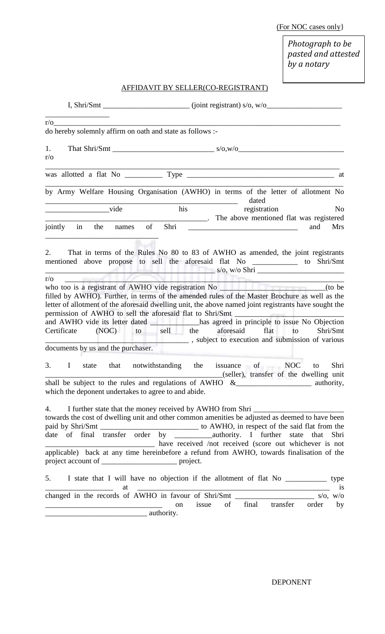(For NOC cases only}

*Photograph to be pasted and attested by a notary*

# AFFIDAVIT BY SELLER(CO-REGISTRANT)

|                  |                              | $r/\sigma$                                                                                                                                                                                                                                                                                                                                                                                                     |           |       |                         |    |     |                              |
|------------------|------------------------------|----------------------------------------------------------------------------------------------------------------------------------------------------------------------------------------------------------------------------------------------------------------------------------------------------------------------------------------------------------------------------------------------------------------|-----------|-------|-------------------------|----|-----|------------------------------|
|                  |                              | do hereby solemnly affirm on oath and state as follows :-                                                                                                                                                                                                                                                                                                                                                      |           |       |                         |    |     |                              |
| 1.<br>$r/\sigma$ |                              |                                                                                                                                                                                                                                                                                                                                                                                                                |           |       |                         |    |     |                              |
|                  |                              |                                                                                                                                                                                                                                                                                                                                                                                                                |           |       |                         |    |     |                              |
|                  |                              | by Army Welfare Housing Organisation (AWHO) in terms of the letter of allotment No                                                                                                                                                                                                                                                                                                                             |           |       | dated                   |    |     |                              |
|                  | vide<br>jointly in the names | The above mentioned flat was registered                                                                                                                                                                                                                                                                                                                                                                        | his<br>of |       | registration            |    | and | N <sub>o</sub><br><b>Mrs</b> |
| $r/\sigma$       | <b>Common Common</b>         | s/o, w/o Shri<br>filled by AWHO). Further, in terms of the amended rules of the Master Brochure as well as the<br>letter of allotment of the aforesaid dwelling unit, the above named joint registrants have sought the                                                                                                                                                                                        |           |       |                         |    |     |                              |
|                  |                              | permission of AWHO to sell the aforesaid flat to Shri/Smt _______________________<br>and AWHO vide its letter dated ____________ has agreed in principle to issue No Objection<br>Certificate (NOC) to sell the aforesaid<br>$\frac{1}{1}$ , subject to execution and submission of various                                                                                                                    |           |       | flat                    | to |     | Shri/Smt                     |
|                  |                              | documents by us and the purchaser.                                                                                                                                                                                                                                                                                                                                                                             |           |       |                         |    |     |                              |
|                  |                              | 3. I state that notwithstanding the issuance of NOC<br>shall be subject to the rules and regulations of AWHO &                                                                                                                                                                                                                                                                                                 |           |       |                         |    | to  | Shri                         |
|                  |                              | which the deponent undertakes to agree to and abide.                                                                                                                                                                                                                                                                                                                                                           |           |       |                         |    |     |                              |
| 4.               |                              | I further state that the money received by AWHO from Shri<br>towards the cost of dwelling unit and other common amenities be adjusted as deemed to have been<br>paid by Shri/Smt _______________________________ to AWHO, in respect of the said flat from the<br>date of final transfer order by __________________authority. I further state that<br>have received /not received (score out whichever is not |           |       |                         |    |     | Shri                         |
|                  |                              | applicable) back at any time hereinbefore a refund from AWHO, towards finalisation of the<br>project account of __________________________ project.                                                                                                                                                                                                                                                            |           |       |                         |    |     |                              |
|                  |                              | 5. I state that I will have no objection if the allotment of flat No _____________ type                                                                                                                                                                                                                                                                                                                        |           |       |                         |    |     | is                           |
|                  |                              | <u> Alexandro Alexandro Alexandro Alexandro Alexandro Alexandro Alexandro Alexandro Alexandro Alexandro Alexandro </u>                                                                                                                                                                                                                                                                                         | on        | issue | of final transfer order |    |     | by                           |
|                  |                              | authority.                                                                                                                                                                                                                                                                                                                                                                                                     |           |       |                         |    |     |                              |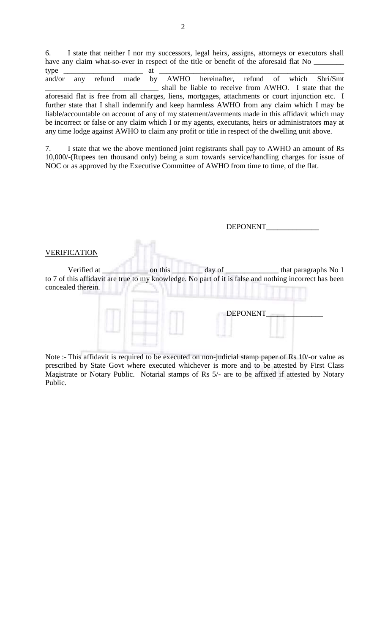6. I state that neither I nor my successors, legal heirs, assigns, attorneys or executors shall have any claim what-so-ever in respect of the title or benefit of the aforesaid flat No \_ type \_\_\_\_\_\_\_\_\_\_\_\_\_\_\_\_\_\_\_\_\_ at \_\_\_\_\_\_\_\_\_\_\_\_\_\_\_\_\_\_\_\_\_\_\_\_\_\_\_\_\_\_\_\_\_\_\_\_\_\_\_\_\_\_\_\_\_\_\_\_\_

and/or any refund made by AWHO hereinafter, refund of which Shri/Smt \_\_\_\_\_\_\_\_\_\_\_\_\_\_\_\_\_\_\_\_\_\_\_\_\_\_\_\_\_\_ shall be liable to receive from AWHO. I state that the aforesaid flat is free from all charges, liens, mortgages, attachments or court injunction etc. I further state that I shall indemnify and keep harmless AWHO from any claim which I may be liable/accountable on account of any of my statement/averments made in this affidavit which may be incorrect or false or any claim which I or my agents, executants, heirs or administrators may at any time lodge against AWHO to claim any profit or title in respect of the dwelling unit above.

7. I state that we the above mentioned joint registrants shall pay to AWHO an amount of Rs 10,000/-(Rupees ten thousand only) being a sum towards service/handling charges for issue of NOC or as approved by the Executive Committee of AWHO from time to time, of the flat.

|                                                                                                                                             |         | <b>DEPONENT</b> |  |
|---------------------------------------------------------------------------------------------------------------------------------------------|---------|-----------------|--|
| <b>VERIFICATION</b>                                                                                                                         |         |                 |  |
| Verified at<br>to 7 of this affidavit are true to my knowledge. No part of it is false and nothing incorrect has been<br>concealed therein. | on this |                 |  |
|                                                                                                                                             |         | <b>DEPONENT</b> |  |
|                                                                                                                                             |         |                 |  |

Note :- This affidavit is required to be executed on non-judicial stamp paper of Rs 10/-or value as prescribed by State Govt where executed whichever is more and to be attested by First Class Magistrate or Notary Public. Notarial stamps of Rs 5/- are to be affixed if attested by Notary Public.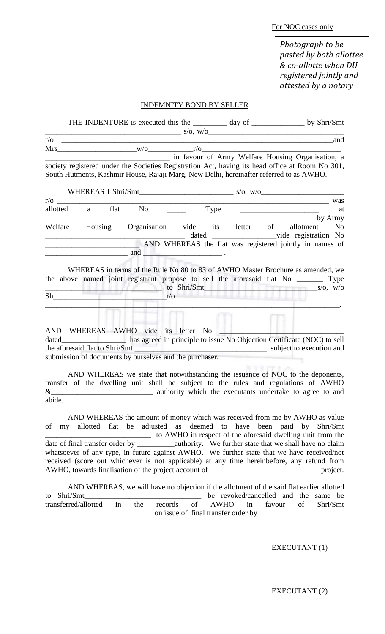For NOC cases only

*Photograph to be pasted by both allottee & co-allotte when DU registered jointly and attested by a notary*

#### INDEMNITY BOND BY SELLER

|            | THE INDENTURE is executed this the ________ day of _____________ by Shri/Smt                                                                                                               |                                                   |  |  |                                                           |                |
|------------|--------------------------------------------------------------------------------------------------------------------------------------------------------------------------------------------|---------------------------------------------------|--|--|-----------------------------------------------------------|----------------|
|            | s/o, w/o                                                                                                                                                                                   |                                                   |  |  |                                                           |                |
| $r/\sigma$ |                                                                                                                                                                                            |                                                   |  |  |                                                           | and            |
|            | $Mrs$ r/o r/o r/o r/o                                                                                                                                                                      |                                                   |  |  |                                                           |                |
|            | society registered under the Societies Registration Act, having its head office at Room No 301,<br>South Hutments, Kashmir House, Rajaji Marg, New Delhi, hereinafter referred to as AWHO. | in favour of Army Welfare Housing Organisation, a |  |  |                                                           |                |
|            |                                                                                                                                                                                            |                                                   |  |  |                                                           |                |
|            |                                                                                                                                                                                            |                                                   |  |  |                                                           | was            |
|            |                                                                                                                                                                                            |                                                   |  |  |                                                           | at             |
| Welfare    |                                                                                                                                                                                            | Housing Organisation vide its letter of allotment |  |  | by Army<br>dated ____________________vide registration No | N <sub>0</sub> |
|            | AND WHEREAS the flat was registered jointly in names of                                                                                                                                    |                                                   |  |  |                                                           |                |
|            | WHEREAS in terms of the Rule No 80 to 83 of AWHO Master Brochure as amended, we                                                                                                            |                                                   |  |  |                                                           |                |
|            | the above named joint registrant propose to sell the aforesaid flat No _________ Type                                                                                                      |                                                   |  |  |                                                           |                |
|            |                                                                                                                                                                                            | $\frac{1}{s}$ to Shri/Smt s/o, w/o                |  |  |                                                           |                |
|            | $Sh$ $r/o$                                                                                                                                                                                 |                                                   |  |  |                                                           |                |
|            | AND WHEREAS AWHO vide its letter No<br>submission of documents by ourselves and the purchaser.                                                                                             |                                                   |  |  |                                                           |                |

AND WHEREAS we state that notwithstanding the issuance of NOC to the deponents, transfer of the dwelling unit shall be subject to the rules and regulations of AWHO & abide.

AND WHEREAS the amount of money which was received from me by AWHO as value of my allotted flat be adjusted as deemed to have been paid by Shri/Smt \_\_\_\_\_\_\_\_\_\_\_\_\_\_\_\_\_\_\_\_\_\_\_\_\_\_\_\_ to AWHO in respect of the aforesaid dwelling unit from the date of final transfer order by \_\_\_\_\_\_\_\_\_\_\_\_\_\_\_\_authority. We further state that we shall have no claim whatsoever of any type, in future against AWHO. We further state that we have received/not received (score out whichever is not applicable) at any time hereinbefore, any refund from AWHO, towards finalisation of the project account of \_\_\_\_\_\_\_\_\_\_\_\_\_\_\_\_\_\_\_\_\_\_\_\_\_\_\_\_\_ project.

AND WHEREAS, we will have no objection if the allotment of the said flat earlier allotted to Shri/Smt\_\_\_\_\_\_\_\_\_\_\_\_\_\_\_\_\_\_\_\_\_\_\_\_\_\_\_\_\_\_\_ be revoked/cancelled and the same be transferred/allotted in the records of AWHO in favour of Shri/Smt \_\_\_\_\_\_\_\_\_\_\_\_\_\_\_\_\_\_\_\_\_\_\_\_\_\_\_\_ on issue of final transfer order by\_\_\_\_\_\_\_\_\_\_\_\_\_\_\_\_\_\_\_\_

EXECUTANT (1)

EXECUTANT (2)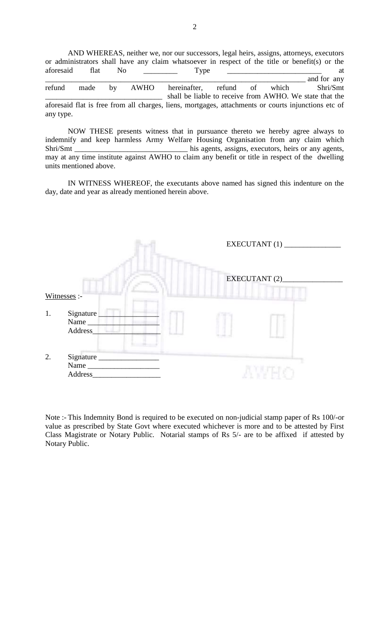AND WHEREAS, neither we, nor our successors, legal heirs, assigns, attorneys, executors or administrators shall have any claim whatsoever in respect of the title or benefit(s) or the aforesaid flat No \_\_\_\_\_\_\_\_\_ Type \_\_\_\_\_\_\_\_\_\_\_\_\_\_\_\_\_\_\_\_\_\_ at made by AWHO hereinafter, refund of which Shri/Smt refund made by AWHO hereinafter, refund of which Shri/Smt shall be liable to receive from AWHO. We state that the aforesaid flat is free from all charges, liens, mortgages, attachments or courts injunctions etc of any type.

NOW THESE presents witness that in pursuance thereto we hereby agree always to indemnify and keep harmless Army Welfare Housing Organisation from any claim which Shri/Smt \_\_\_\_\_\_\_\_\_\_\_\_\_\_\_\_\_\_\_\_\_\_\_\_\_\_\_\_\_\_\_\_\_ his agents, assigns, executors, heirs or any agents, may at any time institute against AWHO to claim any benefit or title in respect of the dwelling units mentioned above.

IN WITNESS WHEREOF, the executants above named has signed this indenture on the day, date and year as already mentioned herein above.



Note :- This Indemnity Bond is required to be executed on non-judicial stamp paper of Rs 100/-or value as prescribed by State Govt where executed whichever is more and to be attested by First Class Magistrate or Notary Public. Notarial stamps of Rs 5/- are to be affixed if attested by Notary Public.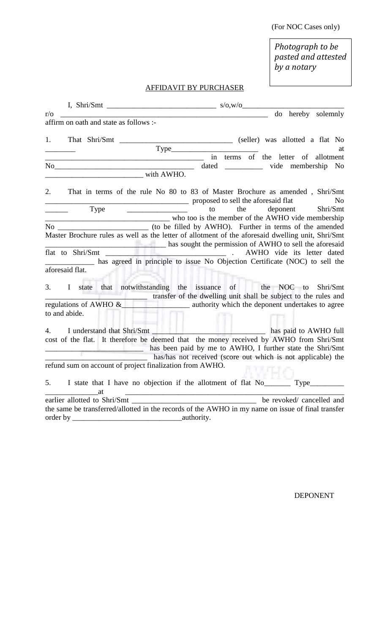(For NOC Cases only)

*Photograph to be pasted and attested by a notary*

# AFFIDAVIT BY PURCHASER

| $r/\sigma$                                                          | do hereby solemnly                                                                                                                                              |
|---------------------------------------------------------------------|-----------------------------------------------------------------------------------------------------------------------------------------------------------------|
| affirm on oath and state as follows :-                              |                                                                                                                                                                 |
| 1.<br>That Shri/Smt                                                 | (seller) was allotted a flat No                                                                                                                                 |
|                                                                     | at                                                                                                                                                              |
| <u> 1989 - Johann Stein, mars an deus Amerikaansk kommunister (</u> | in terms of the letter of allotment                                                                                                                             |
| No                                                                  | dated ___________ vide membership No                                                                                                                            |
| with AWHO.                                                          |                                                                                                                                                                 |
| 2.                                                                  | That in terms of the rule No 80 to 83 of Master Brochure as amended, Shri/Smt<br>proposed to sell the aforesaid flat<br>N <sub>o</sub>                          |
| Type                                                                | deponent<br>Shri/Smt<br>the<br>to                                                                                                                               |
|                                                                     | who too is the member of the AWHO vide membership                                                                                                               |
|                                                                     |                                                                                                                                                                 |
|                                                                     | Master Brochure rules as well as the letter of allotment of the aforesaid dwelling unit, Shri/Smt<br>has sought the permission of AWHO to sell the aforesaid    |
|                                                                     | AWHO vide its letter dated                                                                                                                                      |
|                                                                     | has agreed in principle to issue No Objection Certificate (NOC) to sell the                                                                                     |
| aforesaid flat.                                                     |                                                                                                                                                                 |
| 3.                                                                  | I state that notwithstanding the issuance of the NOC to<br>Shri/Smt<br>transfer of the dwelling unit shall be subject to the rules and<br>regulations of AWHO & |
| ---<br>to and abide.                                                |                                                                                                                                                                 |
|                                                                     |                                                                                                                                                                 |
| 4.                                                                  |                                                                                                                                                                 |
|                                                                     | cost of the flat. It therefore be deemed that the money received by AWHO from Shri/Smt                                                                          |
|                                                                     | has been paid by me to AWHO, I further state the Shri/Smt                                                                                                       |
|                                                                     | has/has not received (score out which is not applicable) the                                                                                                    |
| refund sum on account of project finalization from AWHO.            |                                                                                                                                                                 |
| 5.<br>at                                                            | I state that I have no objection if the allotment of flat No                                                                                                    |
|                                                                     |                                                                                                                                                                 |
|                                                                     | the same be transferred/allotted in the records of the AWHO in my name on issue of final transfer                                                               |
| order by<br><b>Example 2</b> authority.                             |                                                                                                                                                                 |

DEPONENT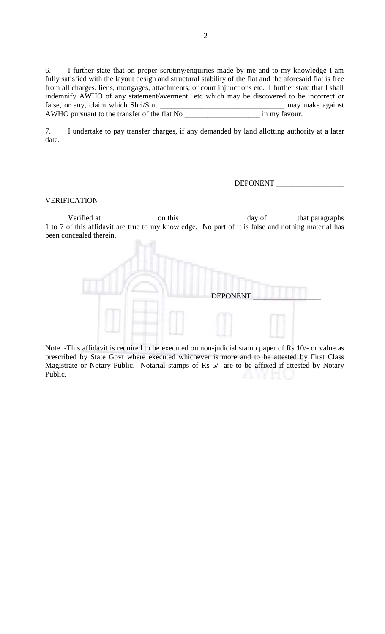6. I further state that on proper scrutiny/enquiries made by me and to my knowledge I am fully satisfied with the layout design and structural stability of the flat and the aforesaid flat is free from all charges. liens, mortgages, attachments, or court injunctions etc. I further state that I shall indemnify AWHO of any statement/averment etc which may be discovered to be incorrect or false, or any, claim which Shri/Smt \_\_\_\_\_\_\_\_\_\_\_\_\_\_\_\_\_\_\_\_\_\_\_\_\_\_\_\_\_\_\_\_\_ may make against AWHO pursuant to the transfer of the flat No

7. I undertake to pay transfer charges, if any demanded by land allotting authority at a later date.

#### DEPONENT

#### VERIFICATION

Verified at \_\_\_\_\_\_\_\_\_\_\_\_\_\_\_\_\_\_\_ on this \_\_\_\_\_\_\_\_\_\_\_\_\_\_\_\_\_\_\_\_\_\_\_\_\_\_\_\_\_\_\_\_\_\_ day of \_\_\_\_\_\_\_\_\_\_\_\_\_ that paragraphs 1 to 7 of this affidavit are true to my knowledge. No part of it is false and nothing material has been concealed therein.



Note :-This affidavit is required to be executed on non-judicial stamp paper of Rs 10/- or value as prescribed by State Govt where executed whichever is more and to be attested by First Class Magistrate or Notary Public. Notarial stamps of Rs 5/- are to be affixed if attested by Notary Public.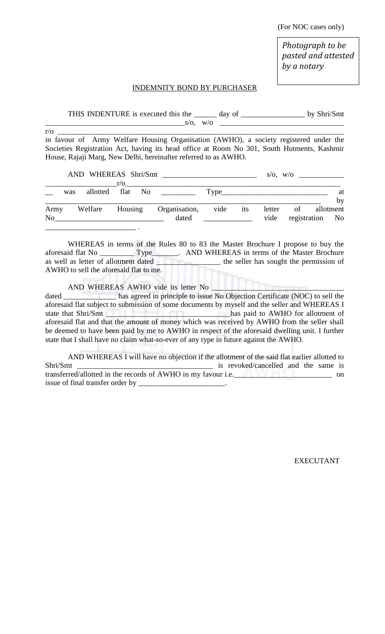(For NOC cases only)

*Photograph to be pasted and attested by a notary*

#### INDEMNITY BOND BY PURCHASER

|                                                                                            | THIS INDENTURE is executed this the ______ day of _______________________________ |      |     |        |    | by Shri/Smt             |    |
|--------------------------------------------------------------------------------------------|-----------------------------------------------------------------------------------|------|-----|--------|----|-------------------------|----|
|                                                                                            |                                                                                   |      |     |        |    |                         |    |
| $r/\sigma$                                                                                 |                                                                                   |      |     |        |    |                         |    |
| in favour of Army Welfare Housing Organisation (AWHO), a society registered under the      |                                                                                   |      |     |        |    |                         |    |
| Societies Registration Act, having its head office at Room No 301, South Hutments, Kashmir |                                                                                   |      |     |        |    |                         |    |
| House, Rajaji Marg, New Delhi, hereinafter referred to as AWHO.                            |                                                                                   |      |     |        |    |                         |    |
|                                                                                            |                                                                                   |      |     |        |    |                         |    |
|                                                                                            |                                                                                   |      |     |        |    | $s/\sigma$ , $w/\sigma$ |    |
|                                                                                            |                                                                                   |      |     |        |    |                         |    |
| allotted<br>was                                                                            | flat No <u>the same</u>                                                           |      |     |        |    |                         | at |
|                                                                                            |                                                                                   |      |     |        |    |                         | by |
| Welfare<br>Housing<br>Army                                                                 | Organisation,                                                                     | vide | its | letter | of | allotment               |    |
| No 1                                                                                       | dated                                                                             |      |     | vide   |    | registration No         |    |
|                                                                                            |                                                                                   |      |     |        |    |                         |    |

WHEREAS in terms of the Rules 80 to 83 the Master Brochure I propose to buy the aforesaid flat No \_\_\_\_\_\_\_\_\_ Type\_\_\_\_\_\_\_. AND WHEREAS in terms of the Master Brochure as well as letter of allotment dated \_\_\_\_\_\_\_\_\_\_\_\_\_\_\_\_\_\_\_\_\_\_ the seller has sought the permission of AWHO to sell the aforesaid flat to me.

AND WHEREAS AWHO vide its letter No

dated \_\_\_\_\_\_\_\_\_\_\_\_\_ has agreed in principle to issue No Objection Certificate (NOC) to sell the aforesaid flat subject to submission of some documents by myself and the seller and WHEREAS I state that Shri/Smt \_\_\_\_\_\_\_\_\_\_\_\_\_\_\_\_\_\_\_\_\_\_\_\_\_\_\_\_\_\_\_\_\_has paid to AWHO for allotment of aforesaid flat and that the amount of money which was received by AWHO from the seller shall be deemed to have been paid by me to AWHO in respect of the aforesaid dwelling unit. I further state that I shall have no claim what-so-ever of any type in future against the AWHO.

AND WHEREAS I will have no objection if the allotment of the said flat earlier allotted to Shri/Smt \_\_\_\_\_\_\_\_\_\_\_\_\_\_\_\_\_\_\_\_\_\_\_\_\_\_\_\_\_\_\_\_\_\_\_\_ is revoked/cancelled and the same is transferred/allotted in the records of AWHO in my favour i.e.\_\_\_\_\_\_\_\_\_\_\_\_\_\_\_\_\_\_\_\_ on issue of final transfer order by \_\_\_\_\_\_\_\_\_\_\_\_\_\_\_\_\_\_\_\_\_\_\_.

EXECUTANT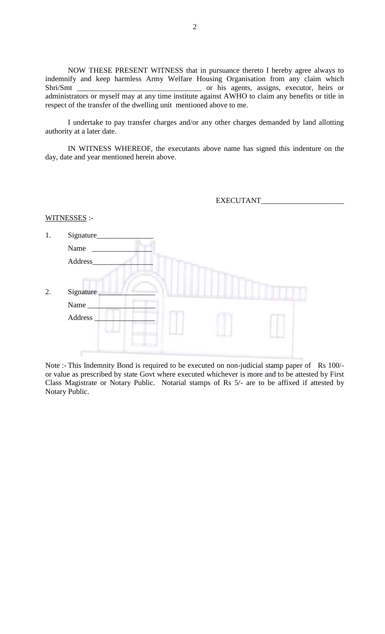NOW THESE PRESENT WITNESS that in pursuance thereto I hereby agree always to indemnify and keep harmless Army Welfare Housing Organisation from any claim which Shri/Smt \_\_\_\_\_\_\_\_\_\_\_\_\_\_\_\_\_\_\_\_\_\_\_\_\_\_\_\_\_\_\_\_\_ or his agents, assigns, executor, heirs or administrators or myself may at any time institute against AWHO to claim any benefits or title in respect of the transfer of the dwelling unit mentioned above to me.

I undertake to pay transfer charges and/or any other charges demanded by land allotting authority at a later date.

IN WITNESS WHEREOF, the executants above name has signed this indenture on the day, date and year mentioned herein above.

|    |                    |  | EXECUTANT |  |
|----|--------------------|--|-----------|--|
|    | WITNESSES :-       |  |           |  |
| 1. | Signature_<br>Name |  |           |  |
|    | Address_           |  |           |  |
| 2. | Signature          |  |           |  |
|    | Name_              |  |           |  |
|    | Address            |  |           |  |
|    |                    |  |           |  |

Note :- This Indemnity Bond is required to be executed on non-judicial stamp paper of Rs 100/or value as prescribed by state Govt where executed whichever is more and to be attested by First Class Magistrate or Notary Public. Notarial stamps of Rs 5/- are to be affixed if attested by Notary Public.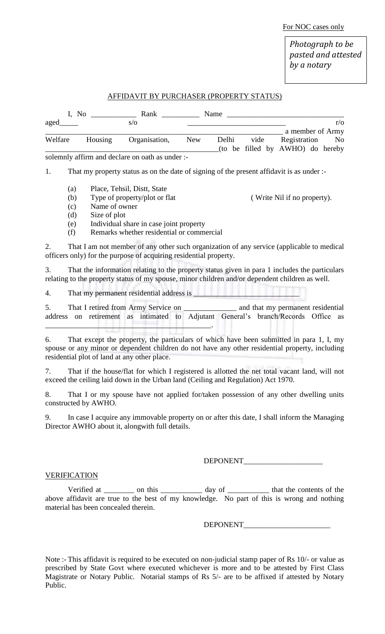For NOC cases only

*Photograph to be pasted and attested by a notary*

## AFFIDAVIT BY PURCHASER (PROPERTY STATUS)

| I, No   |         | Rank                                                 |     | Name  |      |                                     |            |
|---------|---------|------------------------------------------------------|-----|-------|------|-------------------------------------|------------|
| aged    |         | S/O                                                  |     |       |      |                                     | $r/\Omega$ |
|         |         |                                                      |     |       |      | a member of Army                    |            |
| Welfare | Housing | Organisation,                                        | New | Delhi | vide | Registration                        | No         |
|         |         |                                                      |     |       |      | (to be filled by $AWHO$ ) do hereby |            |
|         |         | solemnly affirm and declare on oath as under $\cdot$ |     |       |      |                                     |            |

solemnly affirm and declare on oath as under :-

1. That my property status as on the date of signing of the present affidavit is as under :-

- (a) Place, Tehsil, Distt, State
- (b) Type of property/plot or flat ( Write Nil if no property).
- (c) Name of owner
- (d) Size of plot
- (e) Individual share in case joint property
- (f) Remarks whether residential or commercial

2. That I am not member of any other such organization of any service (applicable to medical officers only) for the purpose of acquiring residential property.

3. That the information relating to the property status given in para 1 includes the particulars relating to the property status of my spouse, minor children and/or dependent children as well.

4. That my permanent residential address is  $\qquad$ 

5. That I retired from Army Service on \_\_\_\_\_\_\_\_\_\_\_\_\_\_ and that my permanent residential address on retirement as intimated to Adjutant General's branch/Records Office as \_\_\_\_\_\_\_\_\_\_\_\_\_\_\_\_\_\_\_\_\_\_\_\_\_\_\_\_\_\_\_\_\_\_\_\_\_\_\_\_\_\_\_\_.

6. That except the property, the particulars of which have been submitted in para 1, I, my spouse or any minor or dependent children do not have any other residential property, including residential plot of land at any other place.

7. That if the house/flat for which I registered is allotted the net total vacant land, will not exceed the ceiling laid down in the Urban land (Ceiling and Regulation) Act 1970.

8. That I or my spouse have not applied for/taken possession of any other dwelling units constructed by AWHO.

9. In case I acquire any immovable property on or after this date, I shall inform the Managing Director AWHO about it, alongwith full details.

DEPONENT\_\_\_\_\_\_\_\_\_\_\_\_\_\_\_\_\_\_\_\_\_

#### VERIFICATION

Verified at \_\_\_\_\_\_\_\_ on this \_\_\_\_\_\_\_\_\_\_ day of \_\_\_\_\_\_\_\_\_\_ that the contents of the above affidavit are true to the best of my knowledge. No part of this is wrong and nothing material has been concealed therein.

DEPONENT\_\_\_\_\_\_\_\_\_\_\_\_\_\_\_\_\_\_\_\_\_\_\_

Note :- This affidavit is required to be executed on non-judicial stamp paper of Rs 10/- or value as prescribed by State Govt where executed whichever is more and to be attested by First Class Magistrate or Notary Public. Notarial stamps of Rs 5/- are to be affixed if attested by Notary Public.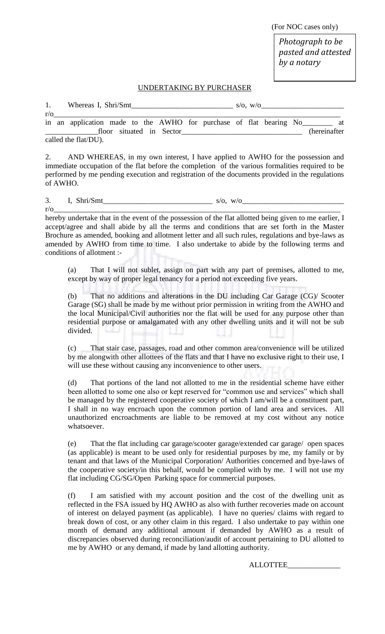(For NOC cases only)

*Photograph to be pasted and attested by a notary*

### UNDERTAKING BY PURCHASER

1. Whereas I, Shri/Smt  $s/\sigma$ , w/o r/o\_\_\_\_\_\_\_\_\_\_\_\_\_\_\_\_\_\_\_\_\_\_\_\_\_\_\_\_\_\_\_\_\_\_\_\_\_\_\_\_\_\_\_\_\_\_\_\_\_\_\_\_\_\_\_\_\_\_\_\_\_\_\_\_\_\_\_\_\_\_\_\_\_\_\_\_ in an application made to the AWHO for purchase of flat bearing No\_\_\_\_\_\_\_\_ at \_\_\_\_\_\_\_\_\_\_\_\_\_\_floor situated in Sector\_\_\_\_\_\_\_\_\_\_\_\_\_\_\_\_\_\_\_\_\_\_\_\_\_\_\_\_\_\_\_\_ (hereinafter

called the flat/DU).

2. AND WHEREAS, in my own interest, I have applied to AWHO for the possession and immediate occupation of the flat before the completion of the various formalities required to be performed by me pending execution and registration of the documents provided in the regulations of AWHO.

3. I, Shri/Smt  $\qquad \qquad$  s/o, w/o

r/o\_\_\_\_\_\_\_\_\_\_\_\_\_\_\_\_\_\_\_\_\_\_\_\_\_\_\_\_\_\_\_\_\_\_\_\_\_\_\_\_\_\_\_\_\_\_\_\_\_\_\_\_\_\_\_\_\_\_\_\_\_\_\_\_\_\_\_\_\_\_\_\_\_\_\_\_ hereby undertake that in the event of the possession of the flat allotted being given to me earlier, I accept/agree and shall abide by all the terms and conditions that are set forth in the Master Brochure as amended, booking and allotment letter and all such rules, regulations and bye-laws as amended by AWHO from time to time. I also undertake to abide by the following terms and conditions of allotment :-

(a) That I will not sublet, assign on part with any part of premises, allotted to me, except by way of proper legal tenancy for a period not exceeding five years.

(b) That no additions and alterations in the DU including Car Garage (CG)/ Scooter Garage (SG) shall be made by me without prior permission in writing from the AWHO and the local Municipal/Civil authorities nor the flat will be used for any purpose other than residential purpose or amalgamated with any other dwelling units and it will not be sub divided.

(c) That stair case, passages, road and other common area/convenience will be utilized by me alongwith other allottees of the flats and that I have no exclusive right to their use, I will use these without causing any inconvenience to other users.

(d) That portions of the land not allotted to me in the residential scheme have either been allotted to some one also or kept reserved for "common use and services" which shall be managed by the registered cooperative society of which I am/will be a constituent part, I shall in no way encroach upon the common portion of land area and services. All unauthorized encroachments are liable to be removed at my cost without any notice whatsoever.

(e) That the flat including car garage/scooter garage/extended car garage/ open spaces (as applicable) is meant to be used only for residential purposes by me, my family or by tenant and that laws of the Municipal Corporation/ Authorities concerned and bye-laws of the cooperative society/in this behalf, would be complied with by me. I will not use my flat including CG/SG/Open Parking space for commercial purposes.

(f) I am satisfied with my account position and the cost of the dwelling unit as reflected in the FSA issued by HQ AWHO as also with further recoveries made on account of interest on delayed payment (as applicable). I have no queries/ claims with regard to break down of cost, or any other claim in this regard. I also undertake to pay within one month of demand any additional amount if demanded by AWHO as a result of discrepancies observed during reconciliation/audit of account pertaining to DU allotted to me by AWHO or any demand, if made by land allotting authority.

ALLOTTEE\_\_\_\_\_\_\_\_\_\_\_\_\_\_